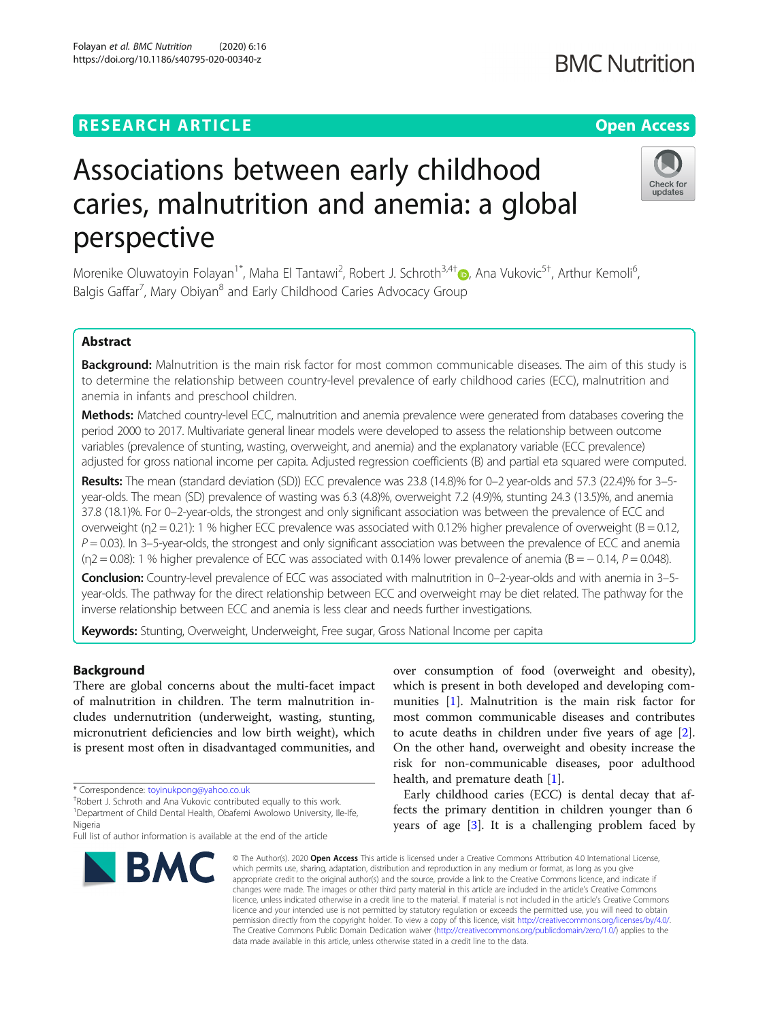# **RESEARCH ARTICLE Example 2014 12:30 The Contract of Contract ACCESS**

# Associations between early childhood caries, malnutrition and anemia: a global perspective

Morenike Oluwatoyin Folayan<sup>1\*</sup>, Maha El Tantawi<sup>2</sup>, Robert J. Schroth<sup>3,4†</sup>®, Ana Vukovic<sup>5†</sup>, Arthur Kemoli<sup>6</sup> י<br>, Balgis Gaffar<sup>7</sup>, Mary Obiyan<sup>8</sup> and Early Childhood Caries Advocacy Group

# Abstract

Background: Malnutrition is the main risk factor for most common communicable diseases. The aim of this study is to determine the relationship between country-level prevalence of early childhood caries (ECC), malnutrition and anemia in infants and preschool children.

Methods: Matched country-level ECC, malnutrition and anemia prevalence were generated from databases covering the period 2000 to 2017. Multivariate general linear models were developed to assess the relationship between outcome variables (prevalence of stunting, wasting, overweight, and anemia) and the explanatory variable (ECC prevalence) adjusted for gross national income per capita. Adjusted regression coefficients (B) and partial eta squared were computed.

Results: The mean (standard deviation (SD)) ECC prevalence was 23.8 (14.8)% for 0–2 year-olds and 57.3 (22.4)% for 3–5year-olds. The mean (SD) prevalence of wasting was 6.3 (4.8)%, overweight 7.2 (4.9)%, stunting 24.3 (13.5)%, and anemia 37.8 (18.1)%. For 0–2-year-olds, the strongest and only significant association was between the prevalence of ECC and overweight ( $n^2 = 0.21$ ): 1 % higher ECC prevalence was associated with 0.12% higher prevalence of overweight ( $B = 0.12$ ,  $P = 0.03$ ). In 3–5-year-olds, the strongest and only significant association was between the prevalence of ECC and anemia ( $\eta$ 2 = 0.08): 1 % higher prevalence of ECC was associated with 0.14% lower prevalence of anemia ( $B = -0.14$ ,  $P = 0.048$ ).

Conclusion: Country-level prevalence of ECC was associated with malnutrition in 0–2-year-olds and with anemia in 3–5year-olds. The pathway for the direct relationship between ECC and overweight may be diet related. The pathway for the inverse relationship between ECC and anemia is less clear and needs further investigations.

Keywords: Stunting, Overweight, Underweight, Free sugar, Gross National Income per capita

Background

There are global concerns about the multi-facet impact of malnutrition in children. The term malnutrition includes undernutrition (underweight, wasting, stunting, micronutrient deficiencies and low birth weight), which is present most often in disadvantaged communities, and

\* Correspondence: [toyinukpong@yahoo.co.uk](mailto:toyinukpong@yahoo.co.uk) †

<sup>+</sup>Robert J. Schroth and Ana Vukovic contributed equally to this work.

<sup>1</sup>Department of Child Dental Health, Obafemi Awolowo University, Ile-Ife, Nigeria

over consumption of food (overweight and obesity), which is present in both developed and developing communities [[1\]](#page-6-0). Malnutrition is the main risk factor for most common communicable diseases and contributes to acute deaths in children under five years of age [\[2](#page-6-0)]. On the other hand, overweight and obesity increase the risk for non-communicable diseases, poor adulthood health, and premature death [[1\]](#page-6-0).

Early childhood caries (ECC) is dental decay that affects the primary dentition in children younger than 6 years of age [[3\]](#page-6-0). It is a challenging problem faced by

© The Author(s), 2020 **Open Access** This article is licensed under a Creative Commons Attribution 4.0 International License, which permits use, sharing, adaptation, distribution and reproduction in any medium or format, as long as you give appropriate credit to the original author(s) and the source, provide a link to the Creative Commons licence, and indicate if changes were made. The images or other third party material in this article are included in the article's Creative Commons licence, unless indicated otherwise in a credit line to the material. If material is not included in the article's Creative Commons licence and your intended use is not permitted by statutory regulation or exceeds the permitted use, you will need to obtain permission directly from the copyright holder. To view a copy of this licence, visit [http://creativecommons.org/licenses/by/4.0/.](http://creativecommons.org/licenses/by/4.0/) The Creative Commons Public Domain Dedication waiver [\(http://creativecommons.org/publicdomain/zero/1.0/](http://creativecommons.org/publicdomain/zero/1.0/)) applies to the data made available in this article, unless otherwise stated in a credit line to the data.





Full list of author information is available at the end of the article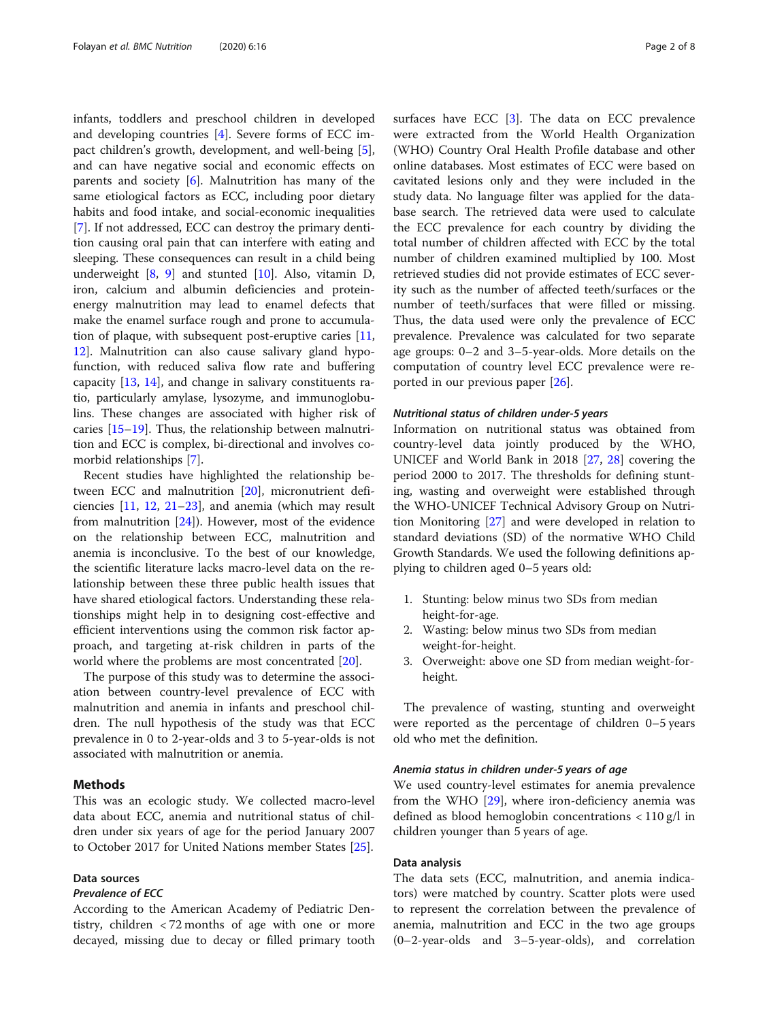infants, toddlers and preschool children in developed and developing countries [[4\]](#page-6-0). Severe forms of ECC impact children's growth, development, and well-being [\[5](#page-6-0)], and can have negative social and economic effects on parents and society [\[6](#page-6-0)]. Malnutrition has many of the same etiological factors as ECC, including poor dietary habits and food intake, and social-economic inequalities [[7\]](#page-6-0). If not addressed, ECC can destroy the primary dentition causing oral pain that can interfere with eating and sleeping. These consequences can result in a child being underweight  $[8, 9]$  $[8, 9]$  $[8, 9]$  $[8, 9]$  and stunted  $[10]$  $[10]$ . Also, vitamin D, iron, calcium and albumin deficiencies and proteinenergy malnutrition may lead to enamel defects that make the enamel surface rough and prone to accumulation of plaque, with subsequent post-eruptive caries [[11](#page-6-0), [12\]](#page-6-0). Malnutrition can also cause salivary gland hypofunction, with reduced saliva flow rate and buffering capacity [\[13](#page-6-0), [14](#page-6-0)], and change in salivary constituents ratio, particularly amylase, lysozyme, and immunoglobulins. These changes are associated with higher risk of caries [\[15](#page-6-0)–[19\]](#page-6-0). Thus, the relationship between malnutrition and ECC is complex, bi-directional and involves comorbid relationships [[7](#page-6-0)].

Recent studies have highlighted the relationship between ECC and malnutrition [[20](#page-6-0)], micronutrient deficiencies [[11,](#page-6-0) [12,](#page-6-0) [21](#page-6-0)–[23](#page-6-0)], and anemia (which may result from malnutrition  $[24]$  $[24]$  $[24]$ . However, most of the evidence on the relationship between ECC, malnutrition and anemia is inconclusive. To the best of our knowledge, the scientific literature lacks macro-level data on the relationship between these three public health issues that have shared etiological factors. Understanding these relationships might help in to designing cost-effective and efficient interventions using the common risk factor approach, and targeting at-risk children in parts of the world where the problems are most concentrated [\[20](#page-6-0)].

The purpose of this study was to determine the association between country-level prevalence of ECC with malnutrition and anemia in infants and preschool children. The null hypothesis of the study was that ECC prevalence in 0 to 2-year-olds and 3 to 5-year-olds is not associated with malnutrition or anemia.

# **Methods**

This was an ecologic study. We collected macro-level data about ECC, anemia and nutritional status of children under six years of age for the period January 2007 to October 2017 for United Nations member States [\[25](#page-6-0)].

# Data sources

#### Prevalence of ECC

According to the American Academy of Pediatric Dentistry, children < 72 months of age with one or more decayed, missing due to decay or filled primary tooth surfaces have ECC [[3](#page-6-0)]. The data on ECC prevalence were extracted from the World Health Organization (WHO) Country Oral Health Profile database and other online databases. Most estimates of ECC were based on cavitated lesions only and they were included in the study data. No language filter was applied for the database search. The retrieved data were used to calculate the ECC prevalence for each country by dividing the total number of children affected with ECC by the total number of children examined multiplied by 100. Most retrieved studies did not provide estimates of ECC severity such as the number of affected teeth/surfaces or the number of teeth/surfaces that were filled or missing. Thus, the data used were only the prevalence of ECC prevalence. Prevalence was calculated for two separate age groups: 0–2 and 3–5-year-olds. More details on the computation of country level ECC prevalence were reported in our previous paper [[26\]](#page-6-0).

### Nutritional status of children under-5 years

Information on nutritional status was obtained from country-level data jointly produced by the WHO, UNICEF and World Bank in 2018 [[27,](#page-6-0) [28](#page-6-0)] covering the period 2000 to 2017. The thresholds for defining stunting, wasting and overweight were established through the WHO-UNICEF Technical Advisory Group on Nutrition Monitoring [[27\]](#page-6-0) and were developed in relation to standard deviations (SD) of the normative WHO Child Growth Standards. We used the following definitions applying to children aged 0–5 years old:

- 1. Stunting: below minus two SDs from median height-for-age.
- 2. Wasting: below minus two SDs from median weight-for-height.
- 3. Overweight: above one SD from median weight-forheight.

The prevalence of wasting, stunting and overweight were reported as the percentage of children 0–5 years old who met the definition.

#### Anemia status in children under-5 years of age

We used country-level estimates for anemia prevalence from the WHO [[29](#page-6-0)], where iron-deficiency anemia was defined as blood hemoglobin concentrations < 110 g/l in children younger than 5 years of age.

# Data analysis

The data sets (ECC, malnutrition, and anemia indicators) were matched by country. Scatter plots were used to represent the correlation between the prevalence of anemia, malnutrition and ECC in the two age groups (0–2-year-olds and 3–5-year-olds), and correlation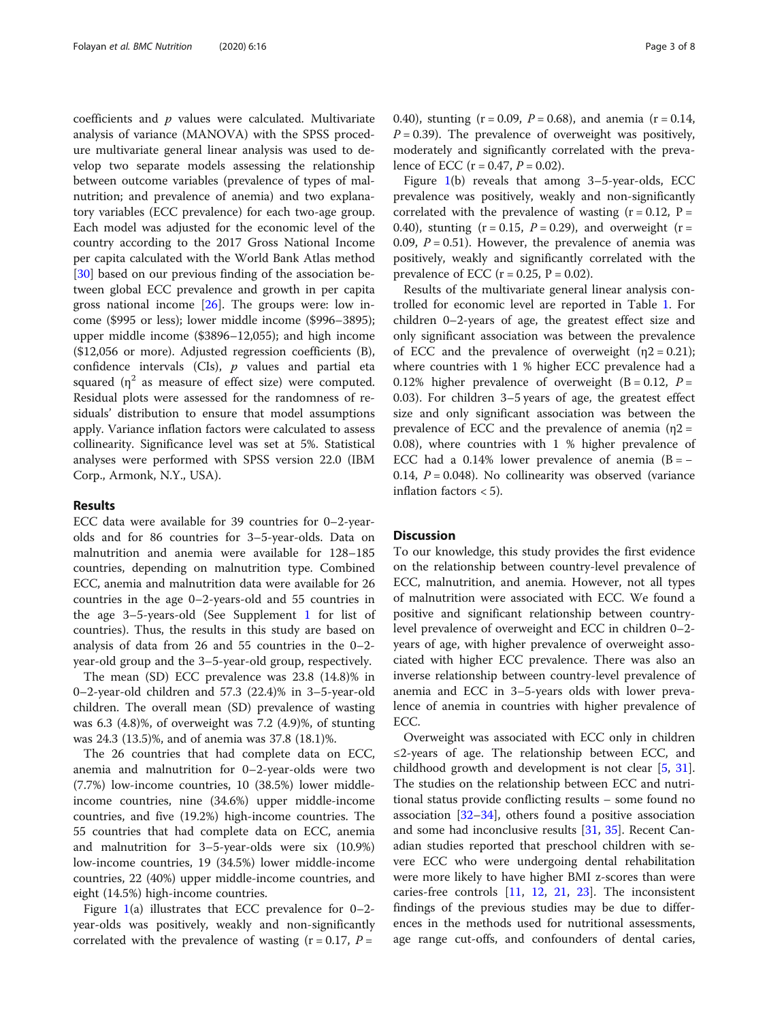coefficients and  $p$  values were calculated. Multivariate analysis of variance (MANOVA) with the SPSS procedure multivariate general linear analysis was used to develop two separate models assessing the relationship between outcome variables (prevalence of types of malnutrition; and prevalence of anemia) and two explanatory variables (ECC prevalence) for each two-age group. Each model was adjusted for the economic level of the country according to the 2017 Gross National Income per capita calculated with the World Bank Atlas method [[30\]](#page-6-0) based on our previous finding of the association between global ECC prevalence and growth in per capita gross national income  $[26]$  $[26]$ . The groups were: low income (\$995 or less); lower middle income (\$996–3895); upper middle income (\$3896–12,055); and high income (\$12,056 or more). Adjusted regression coefficients (B), confidence intervals (CIs),  $p$  values and partial eta squared  $(\eta^2)$  as measure of effect size) were computed. Residual plots were assessed for the randomness of residuals' distribution to ensure that model assumptions apply. Variance inflation factors were calculated to assess collinearity. Significance level was set at 5%. Statistical analyses were performed with SPSS version 22.0 (IBM Corp., Armonk, N.Y., USA).

# Results

ECC data were available for 39 countries for 0–2-yearolds and for 86 countries for 3–5-year-olds. Data on malnutrition and anemia were available for 128–185 countries, depending on malnutrition type. Combined ECC, anemia and malnutrition data were available for 26 countries in the age 0–2-years-old and 55 countries in the age 3–5-years-old (See Supplement [1](#page-5-0) for list of countries). Thus, the results in this study are based on analysis of data from 26 and 55 countries in the 0–2 year-old group and the 3–5-year-old group, respectively.

The mean (SD) ECC prevalence was 23.8 (14.8)% in 0–2-year-old children and 57.3 (22.4)% in 3–5-year-old children. The overall mean (SD) prevalence of wasting was 6.3 (4.8)%, of overweight was 7.2 (4.9)%, of stunting was 24.3 (13.5)%, and of anemia was 37.8 (18.1)%.

The 26 countries that had complete data on ECC, anemia and malnutrition for 0–2-year-olds were two (7.7%) low-income countries, 10 (38.5%) lower middleincome countries, nine (34.6%) upper middle-income countries, and five (19.2%) high-income countries. The 55 countries that had complete data on ECC, anemia and malnutrition for 3–5-year-olds were six (10.9%) low-income countries, 19 (34.5%) lower middle-income countries, 22 (40%) upper middle-income countries, and eight (14.5%) high-income countries.

Figure  $1(a)$  $1(a)$  illustrates that ECC prevalence for 0–2year-olds was positively, weakly and non-significantly correlated with the prevalence of wasting  $(r = 0.17, P =$ 

0.40), stunting  $(r = 0.09, P = 0.68)$ , and anemia  $(r = 0.14, P = 0.68)$  $P = 0.39$ ). The prevalence of overweight was positively, moderately and significantly correlated with the prevalence of ECC ( $r = 0.47$ ,  $P = 0.02$ ).

Figure [1](#page-3-0)(b) reveals that among 3–5-year-olds, ECC prevalence was positively, weakly and non-significantly correlated with the prevalence of wasting  $(r = 0.12, P =$ 0.40), stunting  $(r = 0.15, P = 0.29)$ , and overweight  $(r = 0.15, P = 0.29)$ 0.09,  $P = 0.51$ ). However, the prevalence of anemia was positively, weakly and significantly correlated with the prevalence of ECC ( $r = 0.25$ ,  $P = 0.02$ ).

Results of the multivariate general linear analysis controlled for economic level are reported in Table [1](#page-3-0). For children 0–2-years of age, the greatest effect size and only significant association was between the prevalence of ECC and the prevalence of overweight  $(\eta_2 = 0.21)$ ; where countries with 1 % higher ECC prevalence had a 0.12% higher prevalence of overweight  $(B = 0.12, P =$ 0.03). For children 3–5 years of age, the greatest effect size and only significant association was between the prevalence of ECC and the prevalence of anemia  $(n2 =$ 0.08), where countries with 1 % higher prevalence of ECC had a 0.14% lower prevalence of anemia  $(B = -1)$ 0.14,  $P = 0.048$ ). No collinearity was observed (variance inflation factors < 5).

#### **Discussion**

To our knowledge, this study provides the first evidence on the relationship between country-level prevalence of ECC, malnutrition, and anemia. However, not all types of malnutrition were associated with ECC. We found a positive and significant relationship between countrylevel prevalence of overweight and ECC in children 0–2 years of age, with higher prevalence of overweight associated with higher ECC prevalence. There was also an inverse relationship between country-level prevalence of anemia and ECC in 3–5-years olds with lower prevalence of anemia in countries with higher prevalence of ECC.

Overweight was associated with ECC only in children ≤2-years of age. The relationship between ECC, and childhood growth and development is not clear [\[5](#page-6-0), [31](#page-6-0)]. The studies on the relationship between ECC and nutritional status provide conflicting results – some found no association  $[32-34]$  $[32-34]$  $[32-34]$  $[32-34]$  $[32-34]$ , others found a positive association and some had inconclusive results [\[31](#page-6-0), [35\]](#page-6-0). Recent Canadian studies reported that preschool children with severe ECC who were undergoing dental rehabilitation were more likely to have higher BMI z-scores than were caries-free controls [\[11](#page-6-0), [12,](#page-6-0) [21](#page-6-0), [23\]](#page-6-0). The inconsistent findings of the previous studies may be due to differences in the methods used for nutritional assessments, age range cut-offs, and confounders of dental caries,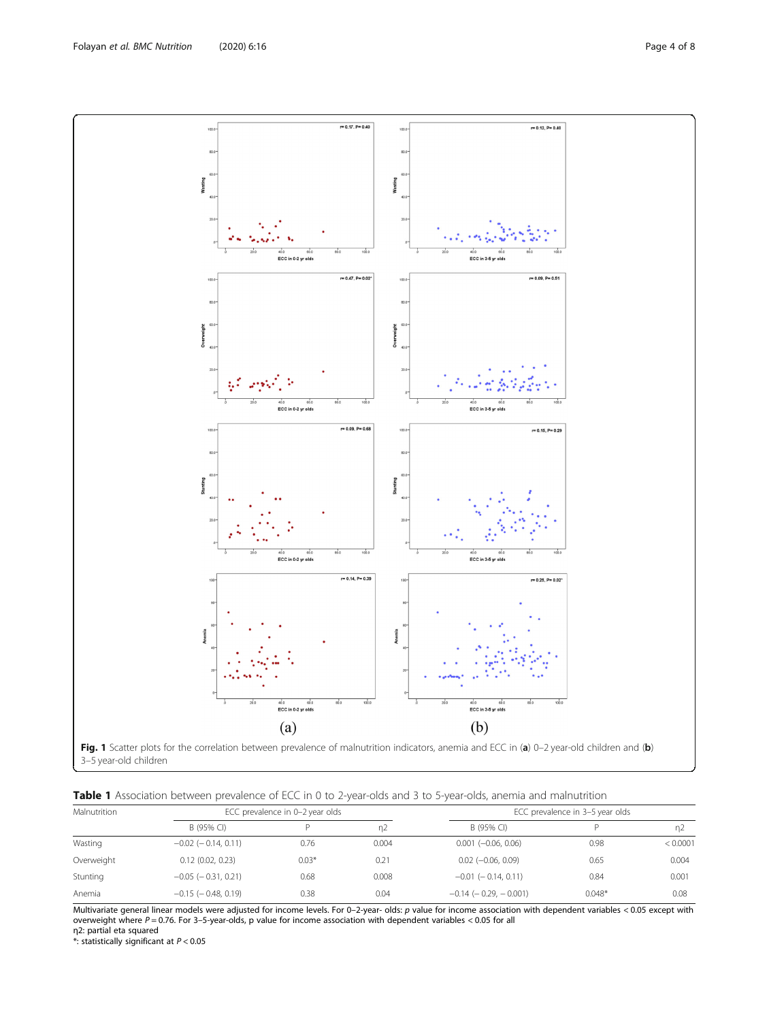3–5 year-old children

|  |  |  |  | <b>Table 1</b> Association between prevalence of ECC in 0 to 2-year-olds and 3 to 5-year-olds, anemia and malnutrition |
|--|--|--|--|------------------------------------------------------------------------------------------------------------------------|
|--|--|--|--|------------------------------------------------------------------------------------------------------------------------|

| Malnutrition | ECC prevalence in 0-2 year olds |         |       | ECC prevalence in 3-5 year olds |          |          |
|--------------|---------------------------------|---------|-------|---------------------------------|----------|----------|
|              | B (95% CI)                      |         | n2    | B (95% CI)                      |          | n2       |
| Wasting      | $-0.02$ ( $-0.14$ , 0.11)       | 0.76    | 0.004 | $0.001$ $(-0.06, 0.06)$         | 0.98     | < 0.0001 |
| Overweight   | 0.12(0.02, 0.23)                | $0.03*$ | 0.21  | $0.02$ ( $-0.06$ , $0.09$ )     | 0.65     | 0.004    |
| Stunting     | $-0.05$ ( $-0.31$ , 0.21)       | 0.68    | 0.008 | $-0.01$ $(-0.14, 0.11)$         | 0.84     | 0.001    |
| Anemia       | $-0.15$ ( $-0.48$ , 0.19)       | 0.38    | 0.04  | $-0.14$ ( $-0.29$ , $-0.001$ )  | $0.048*$ | 0.08     |

Multivariate general linear models were adjusted for income levels. For 0–2-year- olds: *p* value for income association with dependent variables < 0.05 except with<br>overweight where P = 0.76. For 3–5-year-olds, p value for

\*: statistically significant at  $P < 0.05$ 

<span id="page-3-0"></span>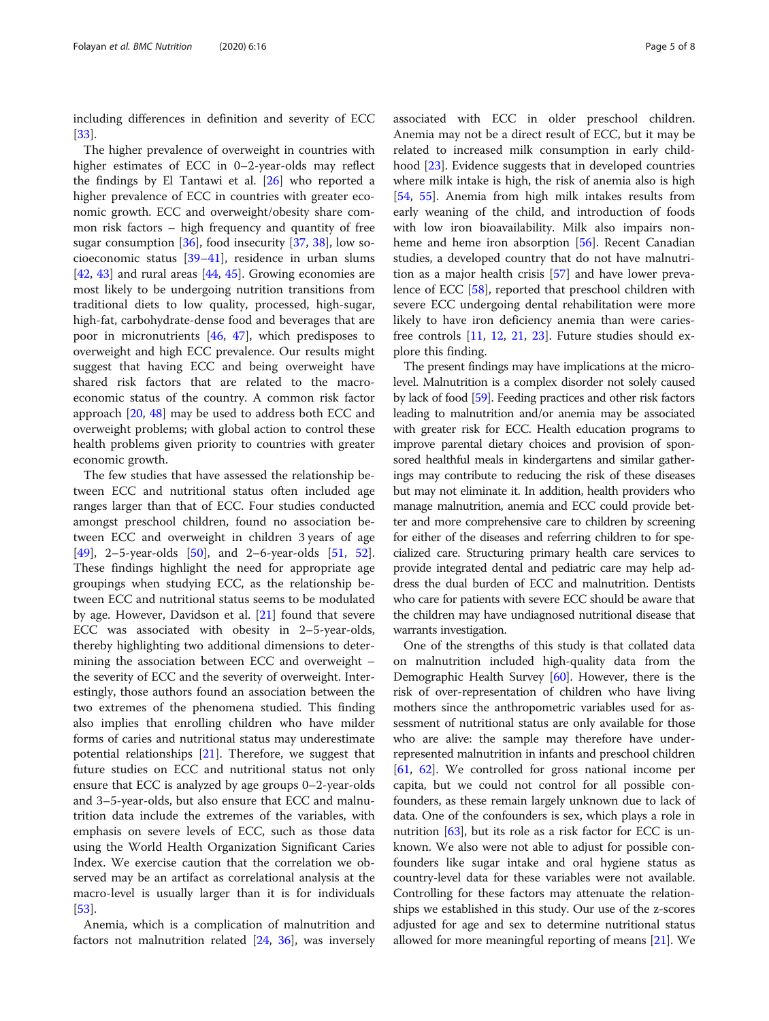including differences in definition and severity of ECC [[33\]](#page-6-0).

The higher prevalence of overweight in countries with higher estimates of ECC in 0–2-year-olds may reflect the findings by El Tantawi et al. [[26](#page-6-0)] who reported a higher prevalence of ECC in countries with greater economic growth. ECC and overweight/obesity share common risk factors – high frequency and quantity of free sugar consumption  $[36]$  $[36]$  $[36]$ , food insecurity  $[37, 38]$  $[37, 38]$  $[37, 38]$  $[37, 38]$ , low socioeconomic status [\[39](#page-6-0)–[41\]](#page-6-0), residence in urban slums  $[42, 43]$  $[42, 43]$  $[42, 43]$  $[42, 43]$  and rural areas  $[44, 45]$  $[44, 45]$  $[44, 45]$  $[44, 45]$ . Growing economies are most likely to be undergoing nutrition transitions from traditional diets to low quality, processed, high-sugar, high-fat, carbohydrate-dense food and beverages that are poor in micronutrients [\[46,](#page-6-0) [47](#page-6-0)], which predisposes to overweight and high ECC prevalence. Our results might suggest that having ECC and being overweight have shared risk factors that are related to the macroeconomic status of the country. A common risk factor approach [[20,](#page-6-0) [48\]](#page-6-0) may be used to address both ECC and overweight problems; with global action to control these health problems given priority to countries with greater economic growth.

The few studies that have assessed the relationship between ECC and nutritional status often included age ranges larger than that of ECC. Four studies conducted amongst preschool children, found no association between ECC and overweight in children 3 years of age [[49\]](#page-7-0), 2–5-year-olds [[50](#page-7-0)], and 2–6-year-olds [[51,](#page-7-0) [52](#page-7-0)]. These findings highlight the need for appropriate age groupings when studying ECC, as the relationship between ECC and nutritional status seems to be modulated by age. However, Davidson et al. [\[21\]](#page-6-0) found that severe ECC was associated with obesity in 2–5-year-olds, thereby highlighting two additional dimensions to determining the association between ECC and overweight – the severity of ECC and the severity of overweight. Interestingly, those authors found an association between the two extremes of the phenomena studied. This finding also implies that enrolling children who have milder forms of caries and nutritional status may underestimate potential relationships [\[21\]](#page-6-0). Therefore, we suggest that future studies on ECC and nutritional status not only ensure that ECC is analyzed by age groups 0–2-year-olds and 3–5-year-olds, but also ensure that ECC and malnutrition data include the extremes of the variables, with emphasis on severe levels of ECC, such as those data using the World Health Organization Significant Caries Index. We exercise caution that the correlation we observed may be an artifact as correlational analysis at the macro-level is usually larger than it is for individuals [[53\]](#page-7-0).

Anemia, which is a complication of malnutrition and factors not malnutrition related [[24,](#page-6-0) [36](#page-6-0)], was inversely associated with ECC in older preschool children. Anemia may not be a direct result of ECC, but it may be related to increased milk consumption in early childhood [[23\]](#page-6-0). Evidence suggests that in developed countries where milk intake is high, the risk of anemia also is high [[54,](#page-7-0) [55\]](#page-7-0). Anemia from high milk intakes results from early weaning of the child, and introduction of foods with low iron bioavailability. Milk also impairs non-heme and heme iron absorption [[56\]](#page-7-0). Recent Canadian studies, a developed country that do not have malnutrition as a major health crisis [[57\]](#page-7-0) and have lower prevalence of ECC [\[58](#page-7-0)], reported that preschool children with severe ECC undergoing dental rehabilitation were more likely to have iron deficiency anemia than were cariesfree controls [\[11](#page-6-0), [12](#page-6-0), [21](#page-6-0), [23](#page-6-0)]. Future studies should explore this finding.

The present findings may have implications at the microlevel. Malnutrition is a complex disorder not solely caused by lack of food [\[59](#page-7-0)]. Feeding practices and other risk factors leading to malnutrition and/or anemia may be associated with greater risk for ECC. Health education programs to improve parental dietary choices and provision of sponsored healthful meals in kindergartens and similar gatherings may contribute to reducing the risk of these diseases but may not eliminate it. In addition, health providers who manage malnutrition, anemia and ECC could provide better and more comprehensive care to children by screening for either of the diseases and referring children to for specialized care. Structuring primary health care services to provide integrated dental and pediatric care may help address the dual burden of ECC and malnutrition. Dentists who care for patients with severe ECC should be aware that the children may have undiagnosed nutritional disease that warrants investigation.

One of the strengths of this study is that collated data on malnutrition included high-quality data from the Demographic Health Survey [[60](#page-7-0)]. However, there is the risk of over-representation of children who have living mothers since the anthropometric variables used for assessment of nutritional status are only available for those who are alive: the sample may therefore have underrepresented malnutrition in infants and preschool children [[61](#page-7-0), [62](#page-7-0)]. We controlled for gross national income per capita, but we could not control for all possible confounders, as these remain largely unknown due to lack of data. One of the confounders is sex, which plays a role in nutrition [[63\]](#page-7-0), but its role as a risk factor for ECC is unknown. We also were not able to adjust for possible confounders like sugar intake and oral hygiene status as country-level data for these variables were not available. Controlling for these factors may attenuate the relationships we established in this study. Our use of the z-scores adjusted for age and sex to determine nutritional status allowed for more meaningful reporting of means [[21](#page-6-0)]. We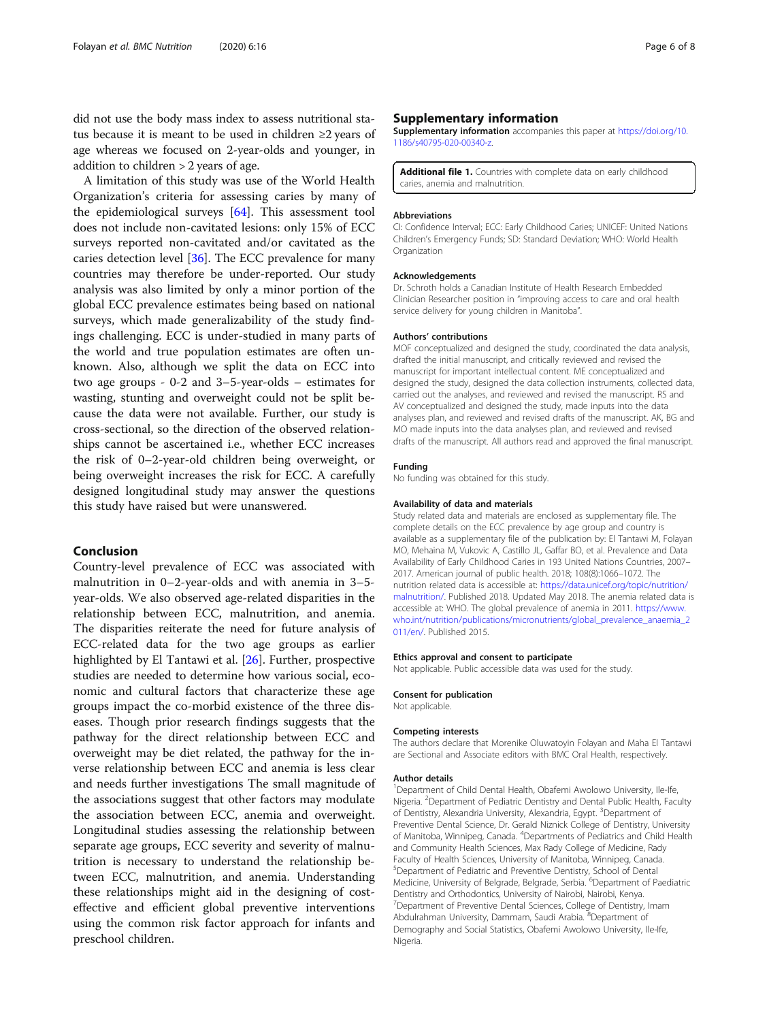<span id="page-5-0"></span>did not use the body mass index to assess nutritional status because it is meant to be used in children ≥2 years of age whereas we focused on 2-year-olds and younger, in addition to children > 2 years of age.

A limitation of this study was use of the World Health Organization's criteria for assessing caries by many of the epidemiological surveys [\[64](#page-7-0)]. This assessment tool does not include non-cavitated lesions: only 15% of ECC surveys reported non-cavitated and/or cavitated as the caries detection level [\[36](#page-6-0)]. The ECC prevalence for many countries may therefore be under-reported. Our study analysis was also limited by only a minor portion of the global ECC prevalence estimates being based on national surveys, which made generalizability of the study findings challenging. ECC is under-studied in many parts of the world and true population estimates are often unknown. Also, although we split the data on ECC into two age groups - 0-2 and 3–5-year-olds – estimates for wasting, stunting and overweight could not be split because the data were not available. Further, our study is cross-sectional, so the direction of the observed relationships cannot be ascertained i.e., whether ECC increases the risk of 0–2-year-old children being overweight, or being overweight increases the risk for ECC. A carefully designed longitudinal study may answer the questions this study have raised but were unanswered.

# Conclusion

Country-level prevalence of ECC was associated with malnutrition in 0–2-year-olds and with anemia in 3–5 year-olds. We also observed age-related disparities in the relationship between ECC, malnutrition, and anemia. The disparities reiterate the need for future analysis of ECC-related data for the two age groups as earlier highlighted by El Tantawi et al. [\[26](#page-6-0)]. Further, prospective studies are needed to determine how various social, economic and cultural factors that characterize these age groups impact the co-morbid existence of the three diseases. Though prior research findings suggests that the pathway for the direct relationship between ECC and overweight may be diet related, the pathway for the inverse relationship between ECC and anemia is less clear and needs further investigations The small magnitude of the associations suggest that other factors may modulate the association between ECC, anemia and overweight. Longitudinal studies assessing the relationship between separate age groups, ECC severity and severity of malnutrition is necessary to understand the relationship between ECC, malnutrition, and anemia. Understanding these relationships might aid in the designing of costeffective and efficient global preventive interventions using the common risk factor approach for infants and preschool children.

### Supplementary information

Supplementary information accompanies this paper at [https://doi.org/10.](https://doi.org/10.1186/s40795-020-00340-z) [1186/s40795-020-00340-z.](https://doi.org/10.1186/s40795-020-00340-z)

Additional file 1. Countries with complete data on early childhood caries, anemia and malnutrition.

#### **Abbreviations**

CI: Confidence Interval; ECC: Early Childhood Caries; UNICEF: United Nations Children's Emergency Funds; SD: Standard Deviation; WHO: World Health **Organization** 

#### Acknowledgements

Dr. Schroth holds a Canadian Institute of Health Research Embedded Clinician Researcher position in "improving access to care and oral health service delivery for young children in Manitoba".

#### Authors' contributions

MOF conceptualized and designed the study, coordinated the data analysis, drafted the initial manuscript, and critically reviewed and revised the manuscript for important intellectual content. ME conceptualized and designed the study, designed the data collection instruments, collected data, carried out the analyses, and reviewed and revised the manuscript. RS and AV conceptualized and designed the study, made inputs into the data analyses plan, and reviewed and revised drafts of the manuscript. AK, BG and MO made inputs into the data analyses plan, and reviewed and revised drafts of the manuscript. All authors read and approved the final manuscript.

#### Funding

No funding was obtained for this study.

#### Availability of data and materials

Study related data and materials are enclosed as supplementary file. The complete details on the ECC prevalence by age group and country is available as a supplementary file of the publication by: El Tantawi M, Folayan MO, Mehaina M, Vukovic A, Castillo JL, Gaffar BO, et al. Prevalence and Data Availability of Early Childhood Caries in 193 United Nations Countries, 2007– 2017. American journal of public health. 2018; 108(8):1066–1072. The nutrition related data is accessible at: [https://data.unicef.org/topic/nutrition/](https://data.unicef.org/topic/nutrition/malnutrition/) [malnutrition/](https://data.unicef.org/topic/nutrition/malnutrition/). Published 2018. Updated May 2018. The anemia related data is accessible at: WHO. The global prevalence of anemia in 2011. [https://www.](https://www.who.int/nutrition/publications/micronutrients/global_prevalence_anaemia_2011/en/) [who.int/nutrition/publications/micronutrients/global\\_prevalence\\_anaemia\\_2](https://www.who.int/nutrition/publications/micronutrients/global_prevalence_anaemia_2011/en/) [011/en/](https://www.who.int/nutrition/publications/micronutrients/global_prevalence_anaemia_2011/en/). Published 2015.

#### Ethics approval and consent to participate

Not applicable. Public accessible data was used for the study.

#### Consent for publication

Not applicable.

#### Competing interests

The authors declare that Morenike Oluwatoyin Folayan and Maha El Tantawi are Sectional and Associate editors with BMC Oral Health, respectively.

#### Author details

<sup>1</sup>Department of Child Dental Health, Obafemi Awolowo University, Ile-Ife, Nigeria. <sup>2</sup>Department of Pediatric Dentistry and Dental Public Health, Faculty of Dentistry, Alexandria University, Alexandria, Egypt. <sup>3</sup>Department of Preventive Dental Science, Dr. Gerald Niznick College of Dentistry, University of Manitoba, Winnipeg, Canada. <sup>4</sup> Departments of Pediatrics and Child Health and Community Health Sciences, Max Rady College of Medicine, Rady Faculty of Health Sciences, University of Manitoba, Winnipeg, Canada. 5 Department of Pediatric and Preventive Dentistry, School of Dental Medicine, University of Belgrade, Belgrade, Serbia. <sup>6</sup>Department of Paediatric Dentistry and Orthodontics, University of Nairobi, Nairobi, Kenya. <sup>7</sup>Department of Preventive Dental Sciences, College of Dentistry, Imam Abdulrahman University, Dammam, Saudi Arabia. <sup>8</sup>Department of Demography and Social Statistics, Obafemi Awolowo University, Ile-Ife, Nigeria.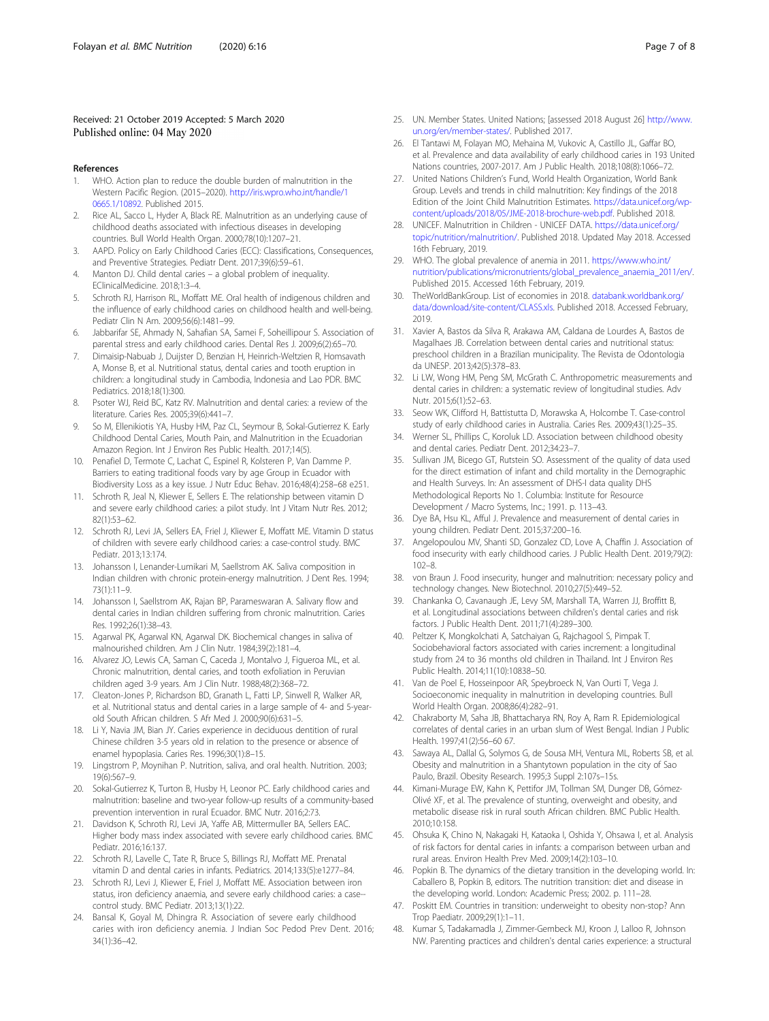#### <span id="page-6-0"></span>Received: 21 October 2019 Accepted: 5 March 2020 Published online: 04 May 2020

- References
- 1. WHO. Action plan to reduce the double burden of malnutrition in the Western Pacific Region. (2015–2020). [http://iris.wpro.who.int/handle/1](http://iris.wpro.who.int/handle/10665.1/10892) [0665.1/10892](http://iris.wpro.who.int/handle/10665.1/10892). Published 2015.
- 2. Rice AL, Sacco L, Hyder A, Black RE. Malnutrition as an underlying cause of childhood deaths associated with infectious diseases in developing countries. Bull World Health Organ. 2000;78(10):1207–21.
- AAPD. Policy on Early Childhood Caries (ECC): Classifications, Consequences, and Preventive Strategies. Pediatr Dent. 2017;39(6):59–61.
- 4. Manton DJ. Child dental caries a global problem of inequality. EClinicalMedicine. 2018;1:3–4.
- 5. Schroth RJ, Harrison RL, Moffatt ME. Oral health of indigenous children and the influence of early childhood caries on childhood health and well-being. Pediatr Clin N Am. 2009;56(6):1481–99.
- Jabbarifar SE, Ahmady N, Sahafian SA, Samei F, Soheillipour S. Association of parental stress and early childhood caries. Dental Res J. 2009;6(2):65–70.
- 7. Dimaisip-Nabuab J, Duijster D, Benzian H, Heinrich-Weltzien R, Homsavath A, Monse B, et al. Nutritional status, dental caries and tooth eruption in children: a longitudinal study in Cambodia, Indonesia and Lao PDR. BMC Pediatrics. 2018;18(1):300.
- 8. Psoter WJ, Reid BC, Katz RV. Malnutrition and dental caries: a review of the literature. Caries Res. 2005;39(6):441–7.
- 9. So M, Ellenikiotis YA, Husby HM, Paz CL, Seymour B, Sokal-Gutierrez K. Early Childhood Dental Caries, Mouth Pain, and Malnutrition in the Ecuadorian Amazon Region. Int J Environ Res Public Health. 2017;14(5).
- 10. Penafiel D, Termote C, Lachat C, Espinel R, Kolsteren P, Van Damme P. Barriers to eating traditional foods vary by age Group in Ecuador with Biodiversity Loss as a key issue. J Nutr Educ Behav. 2016;48(4):258–68 e251.
- 11. Schroth R, Jeal N, Kliewer E, Sellers E. The relationship between vitamin D and severe early childhood caries: a pilot study. Int J Vitam Nutr Res. 2012; 82(1):53–62.
- 12. Schroth RJ, Levi JA, Sellers EA, Friel J, Kliewer E, Moffatt ME. Vitamin D status of children with severe early childhood caries: a case-control study. BMC Pediatr. 2013;13:174.
- 13. Johansson I, Lenander-Lumikari M, Saellstrom AK. Saliva composition in Indian children with chronic protein-energy malnutrition. J Dent Res. 1994; 73(1):11–9.
- 14. Johansson I, Saellstrom AK, Rajan BP, Parameswaran A. Salivary flow and dental caries in Indian children suffering from chronic malnutrition. Caries Res. 1992;26(1):38–43.
- 15. Agarwal PK, Agarwal KN, Agarwal DK. Biochemical changes in saliva of malnourished children. Am J Clin Nutr. 1984;39(2):181–4.
- 16. Alvarez JO, Lewis CA, Saman C, Caceda J, Montalvo J, Figueroa ML, et al. Chronic malnutrition, dental caries, and tooth exfoliation in Peruvian children aged 3-9 years. Am J Clin Nutr. 1988;48(2):368–72.
- 17. Cleaton-Jones P, Richardson BD, Granath L, Fatti LP, Sinwell R, Walker AR, et al. Nutritional status and dental caries in a large sample of 4- and 5-yearold South African children. S Afr Med J. 2000;90(6):631–5.
- 18. Li Y, Navia JM, Bian JY. Caries experience in deciduous dentition of rural Chinese children 3-5 years old in relation to the presence or absence of enamel hypoplasia. Caries Res. 1996;30(1):8–15.
- 19. Lingstrom P, Moynihan P. Nutrition, saliva, and oral health. Nutrition. 2003; 19(6):567–9.
- 20. Sokal-Gutierrez K, Turton B, Husby H, Leonor PC. Early childhood caries and malnutrition: baseline and two-year follow-up results of a community-based prevention intervention in rural Ecuador. BMC Nutr. 2016;2:73.
- 21. Davidson K, Schroth RJ, Levi JA, Yaffe AB, Mittermuller BA, Sellers EAC. Higher body mass index associated with severe early childhood caries. BMC Pediatr. 2016;16:137.
- 22. Schroth RJ, Lavelle C, Tate R, Bruce S, Billings RJ, Moffatt ME. Prenatal vitamin D and dental caries in infants. Pediatrics. 2014;133(5):e1277–84.
- 23. Schroth RJ, Levi J, Kliewer E, Friel J, Moffatt ME. Association between iron status, iron deficiency anaemia, and severe early childhood caries: a case- control study. BMC Pediatr. 2013;13(1):22.
- 24. Bansal K, Goyal M, Dhingra R. Association of severe early childhood caries with iron deficiency anemia. J Indian Soc Pedod Prev Dent. 2016; 34(1):36–42.
- 26. El Tantawi M, Folayan MO, Mehaina M, Vukovic A, Castillo JL, Gaffar BO, et al. Prevalence and data availability of early childhood caries in 193 United Nations countries, 2007-2017. Am J Public Health. 2018;108(8):1066–72.
- 27. United Nations Children's Fund, World Health Organization, World Bank Group. Levels and trends in child malnutrition: Key findings of the 2018 Edition of the Joint Child Malnutrition Estimates. [https://data.unicef.org/wp](https://data.unicef.org/wp-content/uploads/2018/05/JME-2018-brochure-web.pdf)[content/uploads/2018/05/JME-2018-brochure-web.pdf.](https://data.unicef.org/wp-content/uploads/2018/05/JME-2018-brochure-web.pdf) Published 2018.
- 28. UNICEF. Malnutrition in Children UNICEF DATA. [https://data.unicef.org/](https://data.unicef.org/topic/nutrition/malnutrition/) [topic/nutrition/malnutrition/.](https://data.unicef.org/topic/nutrition/malnutrition/) Published 2018. Updated May 2018. Accessed 16th February, 2019.
- 29. WHO. The global prevalence of anemia in 2011. [https://www.who.int/](https://www.who.int/nutrition/publications/micronutrients/global_prevalence_anaemia_2011/en/) [nutrition/publications/micronutrients/global\\_prevalence\\_anaemia\\_2011/en/](https://www.who.int/nutrition/publications/micronutrients/global_prevalence_anaemia_2011/en/). Published 2015. Accessed 16th February, 2019.
- 30. TheWorldBankGroup. List of economies in 2018. [databank.worldbank.org/](http://databank.worldbank.org/data/download/site-content/CLASS.xls) [data/download/site-content/CLASS.xls](http://databank.worldbank.org/data/download/site-content/CLASS.xls). Published 2018. Accessed February, 2019.
- 31. Xavier A, Bastos da Silva R, Arakawa AM, Caldana de Lourdes A, Bastos de Magalhaes JB. Correlation between dental caries and nutritional status: preschool children in a Brazilian municipality. The Revista de Odontologia da UNESP. 2013;42(5):378–83.
- 32. Li LW, Wong HM, Peng SM, McGrath C. Anthropometric measurements and dental caries in children: a systematic review of longitudinal studies. Adv Nutr. 2015;6(1):52–63.
- 33. Seow WK, Clifford H, Battistutta D, Morawska A, Holcombe T. Case-control study of early childhood caries in Australia. Caries Res. 2009;43(1):25–35.
- 34. Werner SL, Phillips C, Koroluk LD. Association between childhood obesity and dental caries. Pediatr Dent. 2012;34:23–7.
- 35. Sullivan JM, Bicego GT, Rutstein SO. Assessment of the quality of data used for the direct estimation of infant and child mortality in the Demographic and Health Surveys. In: An assessment of DHS-I data quality DHS Methodological Reports No 1. Columbia: Institute for Resource Development / Macro Systems, Inc.; 1991. p. 113–43.
- 36. Dye BA, Hsu KL, Afful J. Prevalence and measurement of dental caries in young children. Pediatr Dent. 2015;37:200–16.
- 37. Angelopoulou MV, Shanti SD, Gonzalez CD, Love A, Chaffin J. Association of food insecurity with early childhood caries. J Public Health Dent. 2019;79(2): 102–8.
- 38. von Braun J. Food insecurity, hunger and malnutrition: necessary policy and technology changes. New Biotechnol. 2010;27(5):449–52.
- 39. Chankanka O, Cavanaugh JE, Levy SM, Marshall TA, Warren JJ, Broffitt B, et al. Longitudinal associations between children's dental caries and risk factors. J Public Health Dent. 2011;71(4):289–300.
- 40. Peltzer K, Mongkolchati A, Satchaiyan G, Rajchagool S, Pimpak T. Sociobehavioral factors associated with caries increment: a longitudinal study from 24 to 36 months old children in Thailand. Int J Environ Res Public Health. 2014;11(10):10838–50.
- 41. Van de Poel E, Hosseinpoor AR, Speybroeck N, Van Ourti T, Vega J. Socioeconomic inequality in malnutrition in developing countries. Bull World Health Organ. 2008;86(4):282–91.
- 42. Chakraborty M, Saha JB, Bhattacharya RN, Roy A, Ram R. Epidemiological correlates of dental caries in an urban slum of West Bengal. Indian J Public Health. 1997;41(2):56–60 67.
- 43. Sawaya AL, Dallal G, Solymos G, de Sousa MH, Ventura ML, Roberts SB, et al. Obesity and malnutrition in a Shantytown population in the city of Sao Paulo, Brazil. Obesity Research. 1995;3 Suppl 2:107s–15s.
- 44. Kimani-Murage EW, Kahn K, Pettifor JM, Tollman SM, Dunger DB, Gómez-Olivé XF, et al. The prevalence of stunting, overweight and obesity, and metabolic disease risk in rural south African children. BMC Public Health. 2010;10:158.
- 45. Ohsuka K, Chino N, Nakagaki H, Kataoka I, Oshida Y, Ohsawa I, et al. Analysis of risk factors for dental caries in infants: a comparison between urban and rural areas. Environ Health Prev Med. 2009;14(2):103–10.
- Popkin B. The dynamics of the dietary transition in the developing world. In: Caballero B, Popkin B, editors. The nutrition transition: diet and disease in the developing world. London: Academic Press; 2002. p. 111–28.
- 47. Poskitt EM. Countries in transition: underweight to obesity non-stop? Ann Trop Paediatr. 2009;29(1):1–11.
- 48. Kumar S, Tadakamadla J, Zimmer-Gembeck MJ, Kroon J, Lalloo R, Johnson NW. Parenting practices and children's dental caries experience: a structural